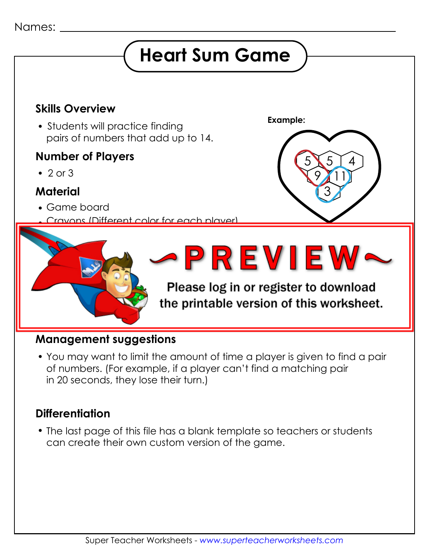#### Names:

# **Heart Sum Game**

#### **Skills Overview** • Students will practice finding pairs of numbers that add up to 14. **Number of Players**  $\cdot$  2 or 3 **Material** Game board Crayons (Different color for each player) **How the player** - PREVIEW~ Players take turns finding and coloring pairs of Please log in or register to download  $\mathbb{R}$  the nutricial examples of  $\sim$  and plantable version of this joining shapes with the numbers 11 and 3.) 5 3 5 9 4 11 **Example:**

#### **Management suggestions**

 You may want to limit the amount of time a player is given to find a pair of numbers. (For example, if a player can't find a matching pair in 20 seconds, they lose their turn.)

### **Differentiation**

 The last page of this file has a blank template so teachers or students can create their own custom version of the game.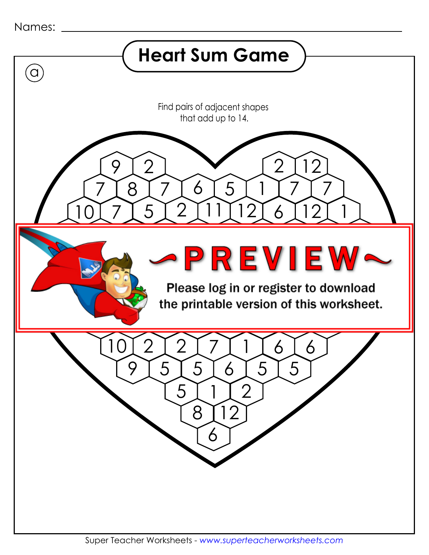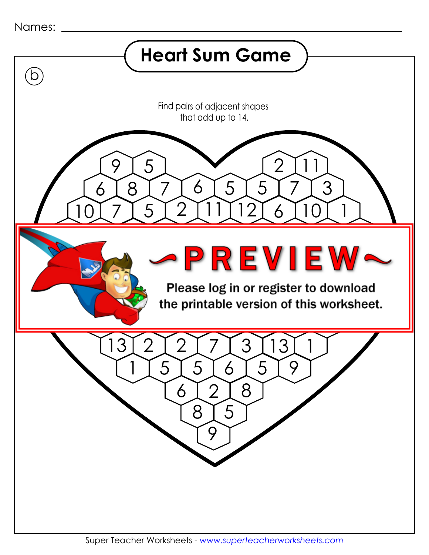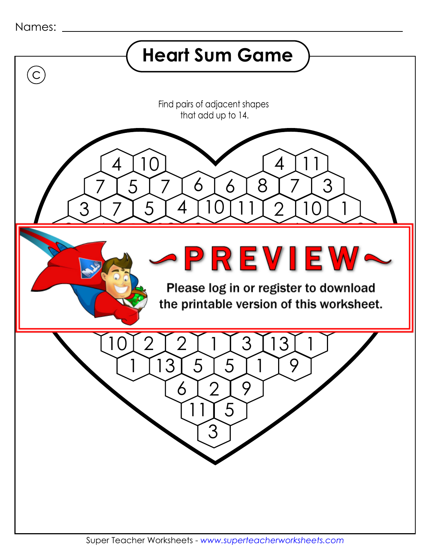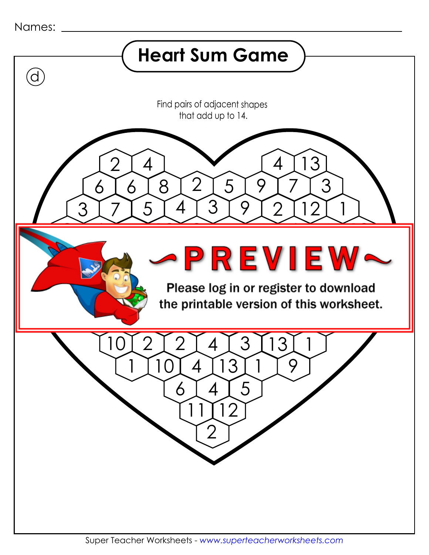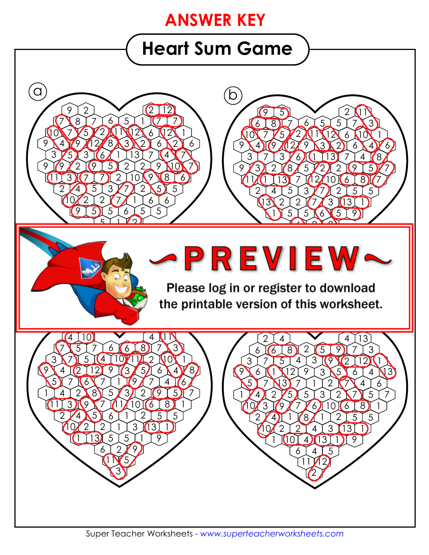### **ANSWER KEY**

# **Heart Sum Game**